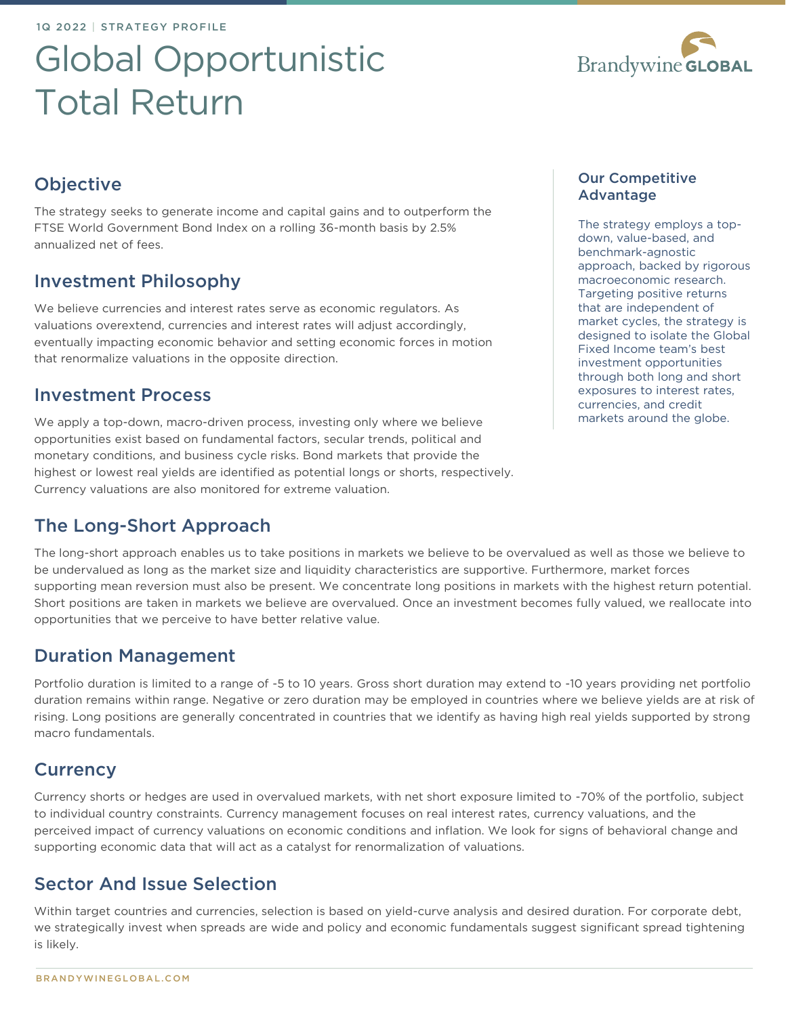1Q 2022 | STRATEGY PROFILE

# Global Opportunistic Total Return



# **Objective**

The strategy seeks to generate income and capital gains and to outperform the FTSE World Government Bond Index on a rolling 36-month basis by 2.5% annualized net of fees.

## Investment Philosophy

We believe currencies and interest rates serve as economic regulators. As valuations overextend, currencies and interest rates will adjust accordingly, eventually impacting economic behavior and setting economic forces in motion that renormalize valuations in the opposite direction.

## Investment Process

We apply a top-down, macro-driven process, investing only where we believe opportunities exist based on fundamental factors, secular trends, political and monetary conditions, and business cycle risks. Bond markets that provide the highest or lowest real yields are identified as potential longs or shorts, respectively. Currency valuations are also monitored for extreme valuation.

# The Long-Short Approach

The long-short approach enables us to take positions in markets we believe to be overvalued as well as those we believe to be undervalued as long as the market size and liquidity characteristics are supportive. Furthermore, market forces supporting mean reversion must also be present. We concentrate long positions in markets with the highest return potential. Short positions are taken in markets we believe are overvalued. Once an investment becomes fully valued, we reallocate into opportunities that we perceive to have better relative value.

## Duration Management

Portfolio duration is limited to a range of -5 to 10 years. Gross short duration may extend to -10 years providing net portfolio duration remains within range. Negative or zero duration may be employed in countries where we believe yields are at risk of rising. Long positions are generally concentrated in countries that we identify as having high real yields supported by strong macro fundamentals.

## **Currency**

Currency shorts or hedges are used in overvalued markets, with net short exposure limited to -70% of the portfolio, subject to individual country constraints. Currency management focuses on real interest rates, currency valuations, and the perceived impact of currency valuations on economic conditions and inflation. We look for signs of behavioral change and supporting economic data that will act as a catalyst for renormalization of valuations.

## Sector And Issue Selection

Within target countries and currencies, selection is based on yield-curve analysis and desired duration. For corporate debt, we strategically invest when spreads are wide and policy and economic fundamentals suggest significant spread tightening is likely.

The strategy employs a topdown, value-based, and benchmark-agnostic approach, backed by rigorous macroeconomic research. Targeting positive returns that are independent of market cycles, the strategy is designed to isolate the Global Fixed Income team's best investment opportunities through both long and short exposures to interest rates, currencies, and credit markets around the globe.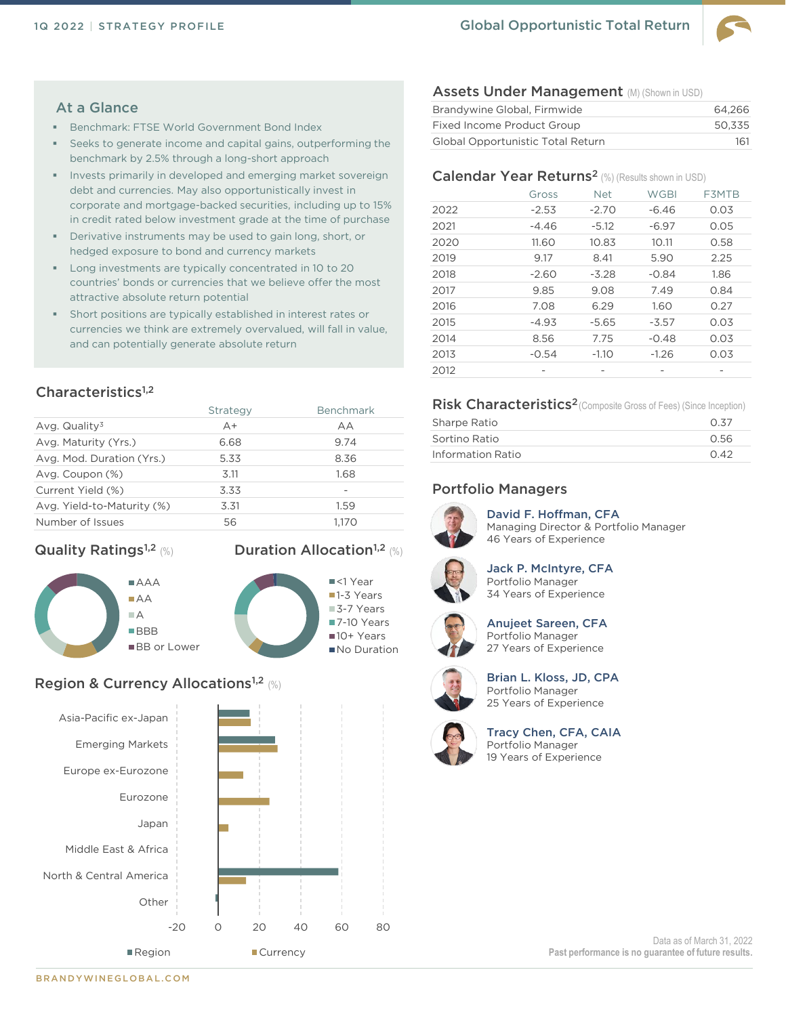

#### At a Glance

- Benchmark: FTSE World Government Bond Index
- Seeks to generate income and capital gains, outperforming the benchmark by 2.5% through a long-short approach
- Invests primarily in developed and emerging market sovereign debt and currencies. May also opportunistically invest in corporate and mortgage-backed securities, including up to 15% in credit rated below investment grade at the time of purchase
- Derivative instruments may be used to gain long, short, or hedged exposure to bond and currency markets
- Long investments are typically concentrated in 10 to 20 countries' bonds or currencies that we believe offer the most attractive absolute return potential
- **EXECUTE:** Short positions are typically established in interest rates or currencies we think are extremely overvalued, will fall in value, and can potentially generate absolute return

### Characteristics<sup>1,2</sup>

|                            | Strategy | <b>Benchmark</b>         |
|----------------------------|----------|--------------------------|
| Avg. Quality <sup>3</sup>  | $A +$    | AА                       |
| Avg. Maturity (Yrs.)       | 6.68     | 9.74                     |
| Avg. Mod. Duration (Yrs.)  | 5.33     | 8.36                     |
| Avg. Coupon (%)            | 3.11     | 1.68                     |
| Current Yield (%)          | 3.33     | $\overline{\phantom{a}}$ |
| Avg. Yield-to-Maturity (%) | 3.31     | 1.59                     |
| Number of Issues           | 56       | 1.170                    |
|                            |          |                          |

Duration Allocation<sup>1,2</sup> (%)

#### **Quality Ratings<sup>1,2</sup> (%)**



#### Region & Currency Allocations<sup>1,2</sup> (%)



#### Assets Under Management (M) (Shown in USD)

| Brandywine Global, Firmwide       | 64.266 |
|-----------------------------------|--------|
| Fixed Income Product Group        | 50.335 |
| Global Opportunistic Total Return | 161    |

### Calendar Year Returns<sup>2</sup> (%) (Results shown in USD)

|      | Gross   | <b>Net</b> | <b>WGBI</b> | F3MTB |
|------|---------|------------|-------------|-------|
| 2022 | $-2.53$ | $-2.70$    | $-6.46$     | 0.03  |
| 2021 | -4.46   | $-5.12$    | $-6.97$     | 0.05  |
| 2020 | 11.60   | 10.83      | 10.11       | 0.58  |
| 2019 | 9.17    | 8.41       | 5.90        | 2.25  |
| 2018 | $-2.60$ | $-3.28$    | $-0.84$     | 1.86  |
| 2017 | 9.85    | 9.08       | 7.49        | 0.84  |
| 2016 | 7.08    | 6.29       | 1.60        | 0.27  |
| 2015 | $-4.93$ | $-5.65$    | $-3.57$     | 0.03  |
| 2014 | 8.56    | 7.75       | $-0.48$     | 0.03  |
| 2013 | $-0.54$ | $-1.10$    | $-1.26$     | 0.03  |
| 2012 |         |            |             |       |

#### Risk Characteristics<sup>2</sup>(Composite Gross of Fees) (Since Inception)

| Sharpe Ratio      | 0.37 |
|-------------------|------|
| Sortino Ratio     | 0.56 |
| Information Ratio | 0.42 |

#### Portfolio Managers



David F. Hoffman, CFA Managing Director & Portfolio Manager 46 Years of Experience



Jack P. McIntyre, CFA Portfolio Manager 34 Years of Experience



Anujeet Sareen, CFA Portfolio Manager 27 Years of Experience



Brian L. Kloss, JD, CPA Portfolio Manager 25 Years of Experience



Tracy Chen, CFA, CAIA Portfolio Manager 19 Years of Experience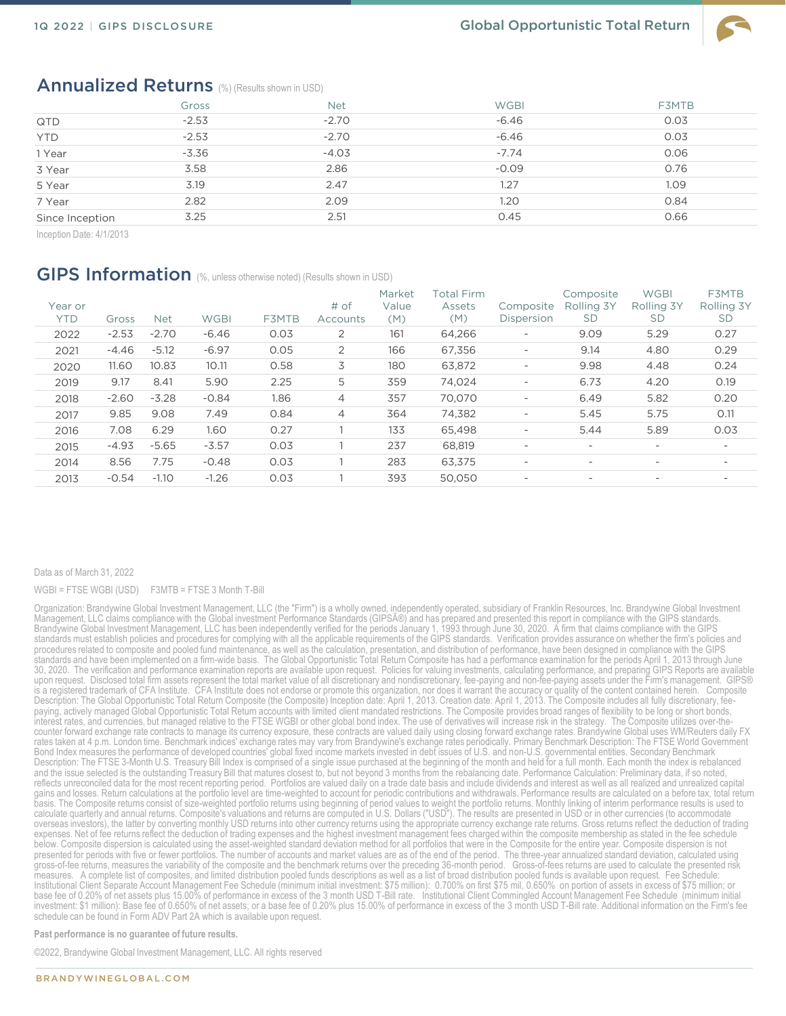

## Annualized Returns (%) (Results shown in USD)

|                 | Gross   | <b>Net</b> | <b>WGBI</b> | <b>F3MTB</b> |
|-----------------|---------|------------|-------------|--------------|
| QTD             | $-2.53$ | $-2.70$    | $-6.46$     | 0.03         |
| <b>YTD</b>      | $-2.53$ | $-2.70$    | $-6.46$     | 0.03         |
| 1 Year          | $-3.36$ | $-4.03$    | $-7.74$     | 0.06         |
| 3 Year          | 3.58    | 2.86       | $-0.09$     | 0.76         |
| 5 Year          | 3.19    | 2.47       | 1.27        | 1.09         |
| 7 Year          | 2.82    | 2.09       | 1.20        | 0.84         |
| Since Inception | 3.25    | 2.51       | 0.45        | 0.66         |

Inception Date: 4/1/2013

## GIPS Information (%, unless otherwise noted) (Results shown in USD)

| Year or<br>YTD | Gross   | <b>Net</b> | <b>WGBI</b> | F3MTB | # of<br>Accounts | Market<br>Value<br>(M) | Total Firm<br>Assets<br>(M) | Composite<br>Dispersion  | Composite<br>Rolling 3Y<br><b>SD</b> | <b>WGBI</b><br>Rolling 3Y<br><b>SD</b> | F3MTB<br>Rolling 3Y<br><b>SD</b> |
|----------------|---------|------------|-------------|-------|------------------|------------------------|-----------------------------|--------------------------|--------------------------------------|----------------------------------------|----------------------------------|
| 2022           | $-2.53$ | $-2.70$    | $-6.46$     | 0.03  | $\overline{2}$   | 161                    | 64,266                      | $\overline{\phantom{a}}$ | 9.09                                 | 5.29                                   | 0.27                             |
| 2021           | $-4.46$ | $-5.12$    | $-6.97$     | 0.05  | $\overline{2}$   | 166                    | 67,356                      | $\overline{\phantom{a}}$ | 9.14                                 | 4.80                                   | 0.29                             |
| 2020           | 11.60   | 10.83      | 10.11       | 0.58  | 3                | 180                    | 63,872                      | $\overline{\phantom{a}}$ | 9.98                                 | 4.48                                   | 0.24                             |
| 2019           | 9.17    | 8.41       | 5.90        | 2.25  | 5                | 359                    | 74.024                      | $\overline{\phantom{a}}$ | 6.73                                 | 4.20                                   | 0.19                             |
| 2018           | $-2.60$ | $-3.28$    | $-0.84$     | 1.86  | $\overline{4}$   | 357                    | 70.070                      | $\overline{\phantom{a}}$ | 6.49                                 | 5.82                                   | 0.20                             |
| 2017           | 9.85    | 9.08       | 7.49        | 0.84  | 4                | 364                    | 74,382                      | $\overline{\phantom{a}}$ | 5.45                                 | 5.75                                   | 0.11                             |
| 2016           | 7.08    | 6.29       | 1.60        | 0.27  |                  | 133                    | 65,498                      | $\overline{\phantom{0}}$ | 5.44                                 | 5.89                                   | 0.03                             |
| 2015           | $-4.93$ | $-5.65$    | $-3.57$     | 0.03  |                  | 237                    | 68,819                      | $\overline{\phantom{0}}$ | $\overline{\phantom{0}}$             | $\overline{\phantom{0}}$               | $\overline{\phantom{0}}$         |
| 2014           | 8.56    | 7.75       | $-0.48$     | 0.03  |                  | 283                    | 63.375                      | $\overline{\phantom{0}}$ | $\overline{\phantom{0}}$             | $\overline{\phantom{a}}$               | $\overline{\phantom{0}}$         |
| 2013           | $-0.54$ | $-1.10$    | $-1.26$     | 0.03  |                  | 393                    | 50.050                      | $\overline{\phantom{0}}$ | $\overline{\phantom{a}}$             | $\overline{\phantom{a}}$               | $\overline{\phantom{a}}$         |
|                |         |            |             |       |                  |                        |                             |                          |                                      |                                        |                                  |

#### Data as of March 31, 2022

#### WGBI = FTSE WGBI (USD) F3MTB = FTSE 3 Month T-Bill

Organization: Brandywine Global Investment Management, LLC (the "Firm") is a wholly owned, independently operated, subsidiary of Franklin Resources, Inc. Brandywine Global Investment Management, LLC claims compliance with the Global investment Performance Standards (GIPSî) and has prepared and presented this report in compliance with the GIPS standards.<br>Brandywine Global Investment Management, LLC has standards must establish policies and procedures for complying with all the applicable requirements of the GIPS standards. Verification provides assurance on whether the firm's policies and procedures related to composite and pooled fund maintenance, as well as the calculation, presentation, and distribution of performance, have been designed in compliance with the GIPS standards and have been implemented on a firm-wide basis. The Global Opportunistic Total Return Composite has had a performance examination for the periods April 1, 2013 through June 30, 2020. The verification and performance examination reports are available upon request. Policies for valuing investments, calculating performance, and preparing GIPS Reports are available upon request. Disclosed total firm assets represent the total market value of all discretionary and nondiscretionary, fee-paying and non-fee-paying assets under the Firm's management. GIPS®<br>is a registered trademark of CFA Description: The Global Opportunistic Total Return Composite (the Composite) Inception date: April 1, 2013. Creation date: April 1, 2013. The Composite includes all fully discretionary, feepaying, actively managed Global Opportunistic Total Return accounts with limited client mandated restrictions. The Composite provides broad ranges of flexibility to be long or short bonds,<br>interest rates, and currencies, b counter forward exchange rate contracts to manage its currency exposure, these contracts are valued daily using closing forward exchange rates. Brandywine Global uses WM/Reuters daily FX rates taken at 4 p.m. London time. Benchmark indices' exchange rates may vary from Brandywine's exchange rates periodically. Primary Benchmark Description: The FTSE World Government<br>Bond Index measures the performance of d Description: The FTSE 3-Month U.S. Treasury Bill Index is comprised of a single issue purchased at the beginning of the month and held for a full month. Each month the index is rebalanced and the issue selected is the outstanding Treasury Bill that matures closest to, but not beyond 3 months from the rebalancing date. Performance Calculation: Preliminary data, if so noted,<br>reflects unreconciled data for the gains and losses. Return calculations at the portfolio level are time-weighted to account for periodic contributions and withdrawals. Performance results are calculated on a before tax, total return basis. The Composite returns consist of size-weighted portfolio returns using beginning of period values to weight the portfolio returns. Monthly linking of interim performance results is used to<br>calculate quarterly and an overseas investors), the latter by converting monthly USD returns into other currency returns using the appropriate currency exchange rate returns. Gross returns reflect the deduction of trading expenses. Net of fee returns reflect the deduction of trading expenses and the highest investment management fees charged within the composite membership as stated in the fee schedule<br>below. Composite dispersion is calcula presented for periods with five or fewer portfolios. The number of accounts and market values are as of the end of the period. The three-year annualized standard deviation, calculated using gross-of-fee returns, measures the variability of the composite and the benchmark returns over the preceding 36-month period. Cross-of-fees returns are used to calculate the presented risk<br>measures. A complete list of comp Institutional Client Separate Account Management Fee Schedule (minimum initial investment: \$75 million): 0.700% on first \$75 mil, 0.650% on portion of assets in excess of \$75 million; or base fee of 0.20% of net assets plus 15.00% of performance in excess of the 3 month USD T-Bill rate. \_ Institutional Client Commingled Account Management Fee Schedule (minimum initial<br>investment: \$1 million): Base fee of schedule can be found in Form ADV Part 2A which is available upon request.

**Past performance is no guarantee of future results.** 

©2022, Brandywine Global Investment Management, LLC. All rights reserved